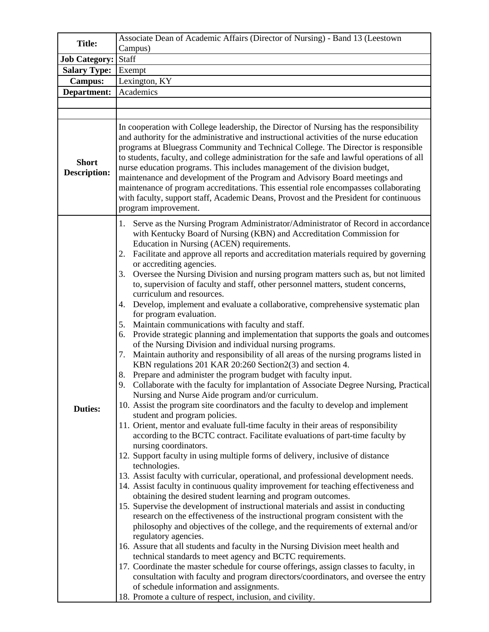| <b>Title:</b>                       | Associate Dean of Academic Affairs (Director of Nursing) - Band 13 (Leestown                                                                                                                                                                                                                                                                                                                                                                                                                                                                                                                                                                                                                                                                                                                                                                                                                                                                                                                                                                                                                                                                                                                                                                                                                                                                                                                                                                                                                                                                                                                                                                                                                                                                                                                                                                                                                                                                                                                                                                                                                                                                                                                                                                                                                                                                                                                                                                                                                                                                                                                                            |
|-------------------------------------|-------------------------------------------------------------------------------------------------------------------------------------------------------------------------------------------------------------------------------------------------------------------------------------------------------------------------------------------------------------------------------------------------------------------------------------------------------------------------------------------------------------------------------------------------------------------------------------------------------------------------------------------------------------------------------------------------------------------------------------------------------------------------------------------------------------------------------------------------------------------------------------------------------------------------------------------------------------------------------------------------------------------------------------------------------------------------------------------------------------------------------------------------------------------------------------------------------------------------------------------------------------------------------------------------------------------------------------------------------------------------------------------------------------------------------------------------------------------------------------------------------------------------------------------------------------------------------------------------------------------------------------------------------------------------------------------------------------------------------------------------------------------------------------------------------------------------------------------------------------------------------------------------------------------------------------------------------------------------------------------------------------------------------------------------------------------------------------------------------------------------------------------------------------------------------------------------------------------------------------------------------------------------------------------------------------------------------------------------------------------------------------------------------------------------------------------------------------------------------------------------------------------------------------------------------------------------------------------------------------------------|
|                                     | Campus)                                                                                                                                                                                                                                                                                                                                                                                                                                                                                                                                                                                                                                                                                                                                                                                                                                                                                                                                                                                                                                                                                                                                                                                                                                                                                                                                                                                                                                                                                                                                                                                                                                                                                                                                                                                                                                                                                                                                                                                                                                                                                                                                                                                                                                                                                                                                                                                                                                                                                                                                                                                                                 |
| Job Category: Staff                 |                                                                                                                                                                                                                                                                                                                                                                                                                                                                                                                                                                                                                                                                                                                                                                                                                                                                                                                                                                                                                                                                                                                                                                                                                                                                                                                                                                                                                                                                                                                                                                                                                                                                                                                                                                                                                                                                                                                                                                                                                                                                                                                                                                                                                                                                                                                                                                                                                                                                                                                                                                                                                         |
| Salary Type:                        | Exempt                                                                                                                                                                                                                                                                                                                                                                                                                                                                                                                                                                                                                                                                                                                                                                                                                                                                                                                                                                                                                                                                                                                                                                                                                                                                                                                                                                                                                                                                                                                                                                                                                                                                                                                                                                                                                                                                                                                                                                                                                                                                                                                                                                                                                                                                                                                                                                                                                                                                                                                                                                                                                  |
| <b>Campus:</b>                      | Lexington, KY                                                                                                                                                                                                                                                                                                                                                                                                                                                                                                                                                                                                                                                                                                                                                                                                                                                                                                                                                                                                                                                                                                                                                                                                                                                                                                                                                                                                                                                                                                                                                                                                                                                                                                                                                                                                                                                                                                                                                                                                                                                                                                                                                                                                                                                                                                                                                                                                                                                                                                                                                                                                           |
| Department:                         | Academics                                                                                                                                                                                                                                                                                                                                                                                                                                                                                                                                                                                                                                                                                                                                                                                                                                                                                                                                                                                                                                                                                                                                                                                                                                                                                                                                                                                                                                                                                                                                                                                                                                                                                                                                                                                                                                                                                                                                                                                                                                                                                                                                                                                                                                                                                                                                                                                                                                                                                                                                                                                                               |
|                                     |                                                                                                                                                                                                                                                                                                                                                                                                                                                                                                                                                                                                                                                                                                                                                                                                                                                                                                                                                                                                                                                                                                                                                                                                                                                                                                                                                                                                                                                                                                                                                                                                                                                                                                                                                                                                                                                                                                                                                                                                                                                                                                                                                                                                                                                                                                                                                                                                                                                                                                                                                                                                                         |
|                                     |                                                                                                                                                                                                                                                                                                                                                                                                                                                                                                                                                                                                                                                                                                                                                                                                                                                                                                                                                                                                                                                                                                                                                                                                                                                                                                                                                                                                                                                                                                                                                                                                                                                                                                                                                                                                                                                                                                                                                                                                                                                                                                                                                                                                                                                                                                                                                                                                                                                                                                                                                                                                                         |
| <b>Short</b><br><b>Description:</b> | In cooperation with College leadership, the Director of Nursing has the responsibility<br>and authority for the administrative and instructional activities of the nurse education<br>programs at Bluegrass Community and Technical College. The Director is responsible<br>to students, faculty, and college administration for the safe and lawful operations of all<br>nurse education programs. This includes management of the division budget,<br>maintenance and development of the Program and Advisory Board meetings and<br>maintenance of program accreditations. This essential role encompasses collaborating<br>with faculty, support staff, Academic Deans, Provost and the President for continuous<br>program improvement.                                                                                                                                                                                                                                                                                                                                                                                                                                                                                                                                                                                                                                                                                                                                                                                                                                                                                                                                                                                                                                                                                                                                                                                                                                                                                                                                                                                                                                                                                                                                                                                                                                                                                                                                                                                                                                                                             |
| <b>Duties:</b>                      | Serve as the Nursing Program Administrator/Administrator of Record in accordance<br>1.<br>with Kentucky Board of Nursing (KBN) and Accreditation Commission for<br>Education in Nursing (ACEN) requirements.<br>Facilitate and approve all reports and accreditation materials required by governing<br>2.<br>or accrediting agencies.<br>Oversee the Nursing Division and nursing program matters such as, but not limited<br>3.<br>to, supervision of faculty and staff, other personnel matters, student concerns,<br>curriculum and resources.<br>Develop, implement and evaluate a collaborative, comprehensive systematic plan<br>4.<br>for program evaluation.<br>Maintain communications with faculty and staff.<br>5.<br>Provide strategic planning and implementation that supports the goals and outcomes<br>6.<br>of the Nursing Division and individual nursing programs.<br>Maintain authority and responsibility of all areas of the nursing programs listed in<br>7.<br>KBN regulations 201 KAR 20:260 Section 2(3) and section 4.<br>Prepare and administer the program budget with faculty input.<br>8.<br>9.<br>Collaborate with the faculty for implantation of Associate Degree Nursing, Practical<br>Nursing and Nurse Aide program and/or curriculum.<br>10. Assist the program site coordinators and the faculty to develop and implement<br>student and program policies.<br>11. Orient, mentor and evaluate full-time faculty in their areas of responsibility<br>according to the BCTC contract. Facilitate evaluations of part-time faculty by<br>nursing coordinators.<br>12. Support faculty in using multiple forms of delivery, inclusive of distance<br>technologies.<br>13. Assist faculty with curricular, operational, and professional development needs.<br>14. Assist faculty in continuous quality improvement for teaching effectiveness and<br>obtaining the desired student learning and program outcomes.<br>15. Supervise the development of instructional materials and assist in conducting<br>research on the effectiveness of the instructional program consistent with the<br>philosophy and objectives of the college, and the requirements of external and/or<br>regulatory agencies.<br>16. Assure that all students and faculty in the Nursing Division meet health and<br>technical standards to meet agency and BCTC requirements.<br>17. Coordinate the master schedule for course offerings, assign classes to faculty, in<br>consultation with faculty and program directors/coordinators, and oversee the entry<br>of schedule information and assignments. |
|                                     |                                                                                                                                                                                                                                                                                                                                                                                                                                                                                                                                                                                                                                                                                                                                                                                                                                                                                                                                                                                                                                                                                                                                                                                                                                                                                                                                                                                                                                                                                                                                                                                                                                                                                                                                                                                                                                                                                                                                                                                                                                                                                                                                                                                                                                                                                                                                                                                                                                                                                                                                                                                                                         |
|                                     |                                                                                                                                                                                                                                                                                                                                                                                                                                                                                                                                                                                                                                                                                                                                                                                                                                                                                                                                                                                                                                                                                                                                                                                                                                                                                                                                                                                                                                                                                                                                                                                                                                                                                                                                                                                                                                                                                                                                                                                                                                                                                                                                                                                                                                                                                                                                                                                                                                                                                                                                                                                                                         |
|                                     |                                                                                                                                                                                                                                                                                                                                                                                                                                                                                                                                                                                                                                                                                                                                                                                                                                                                                                                                                                                                                                                                                                                                                                                                                                                                                                                                                                                                                                                                                                                                                                                                                                                                                                                                                                                                                                                                                                                                                                                                                                                                                                                                                                                                                                                                                                                                                                                                                                                                                                                                                                                                                         |
|                                     |                                                                                                                                                                                                                                                                                                                                                                                                                                                                                                                                                                                                                                                                                                                                                                                                                                                                                                                                                                                                                                                                                                                                                                                                                                                                                                                                                                                                                                                                                                                                                                                                                                                                                                                                                                                                                                                                                                                                                                                                                                                                                                                                                                                                                                                                                                                                                                                                                                                                                                                                                                                                                         |
|                                     |                                                                                                                                                                                                                                                                                                                                                                                                                                                                                                                                                                                                                                                                                                                                                                                                                                                                                                                                                                                                                                                                                                                                                                                                                                                                                                                                                                                                                                                                                                                                                                                                                                                                                                                                                                                                                                                                                                                                                                                                                                                                                                                                                                                                                                                                                                                                                                                                                                                                                                                                                                                                                         |
|                                     |                                                                                                                                                                                                                                                                                                                                                                                                                                                                                                                                                                                                                                                                                                                                                                                                                                                                                                                                                                                                                                                                                                                                                                                                                                                                                                                                                                                                                                                                                                                                                                                                                                                                                                                                                                                                                                                                                                                                                                                                                                                                                                                                                                                                                                                                                                                                                                                                                                                                                                                                                                                                                         |
|                                     |                                                                                                                                                                                                                                                                                                                                                                                                                                                                                                                                                                                                                                                                                                                                                                                                                                                                                                                                                                                                                                                                                                                                                                                                                                                                                                                                                                                                                                                                                                                                                                                                                                                                                                                                                                                                                                                                                                                                                                                                                                                                                                                                                                                                                                                                                                                                                                                                                                                                                                                                                                                                                         |
|                                     | 18. Promote a culture of respect, inclusion, and civility.                                                                                                                                                                                                                                                                                                                                                                                                                                                                                                                                                                                                                                                                                                                                                                                                                                                                                                                                                                                                                                                                                                                                                                                                                                                                                                                                                                                                                                                                                                                                                                                                                                                                                                                                                                                                                                                                                                                                                                                                                                                                                                                                                                                                                                                                                                                                                                                                                                                                                                                                                              |